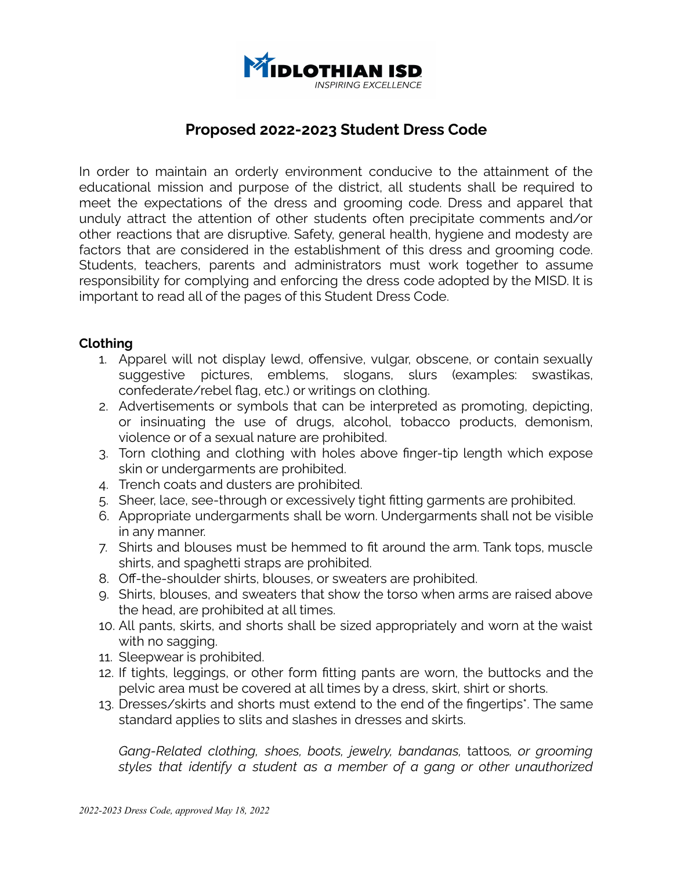

# **Proposed 2022-2023 Student Dress Code**

In order to maintain an orderly environment conducive to the attainment of the educational mission and purpose of the district, all students shall be required to meet the expectations of the dress and grooming code. Dress and apparel that unduly attract the attention of other students often precipitate comments and/or other reactions that are disruptive. Safety, general health, hygiene and modesty are factors that are considered in the establishment of this dress and grooming code. Students, teachers, parents and administrators must work together to assume responsibility for complying and enforcing the dress code adopted by the MISD. It is important to read all of the pages of this Student Dress Code.

#### **Clothing**

- 1. Apparel will not display lewd, offensive, vulgar, obscene, or contain sexually suggestive pictures, emblems, slogans, slurs (examples: swastikas, confederate/rebel flag, etc.) or writings on clothing.
- 2. Advertisements or symbols that can be interpreted as promoting, depicting, or insinuating the use of drugs, alcohol, tobacco products, demonism, violence or of a sexual nature are prohibited.
- 3. Torn clothing and clothing with holes above finger-tip length which expose skin or undergarments are prohibited.
- 4. Trench coats and dusters are prohibited.
- 5. Sheer, lace, see-through or excessively tight fitting garments are prohibited.
- 6. Appropriate undergarments shall be worn. Undergarments shall not be visible in any manner.
- 7. Shirts and blouses must be hemmed to fit around the arm. Tank tops, muscle shirts, and spaghetti straps are prohibited.
- 8. Off-the-shoulder shirts, blouses, or sweaters are prohibited.
- 9. Shirts, blouses, and sweaters that show the torso when arms are raised above the head, are prohibited at all times.
- 10. All pants, skirts, and shorts shall be sized appropriately and worn at the waist with no sagging.
- 11. Sleepwear is prohibited.
- 12. If tights, leggings, or other form fitting pants are worn, the buttocks and the pelvic area must be covered at all times by a dress, skirt, shirt or shorts.
- 13. Dresses/skirts and shorts must extend to the end of the fingertips\*. The same standard applies to slits and slashes in dresses and skirts.

*Gang-Related clothing, shoes, boots, jewelry, bandanas,* tattoos*, or grooming styles that identify a student as a member of a gang or other unauthorized*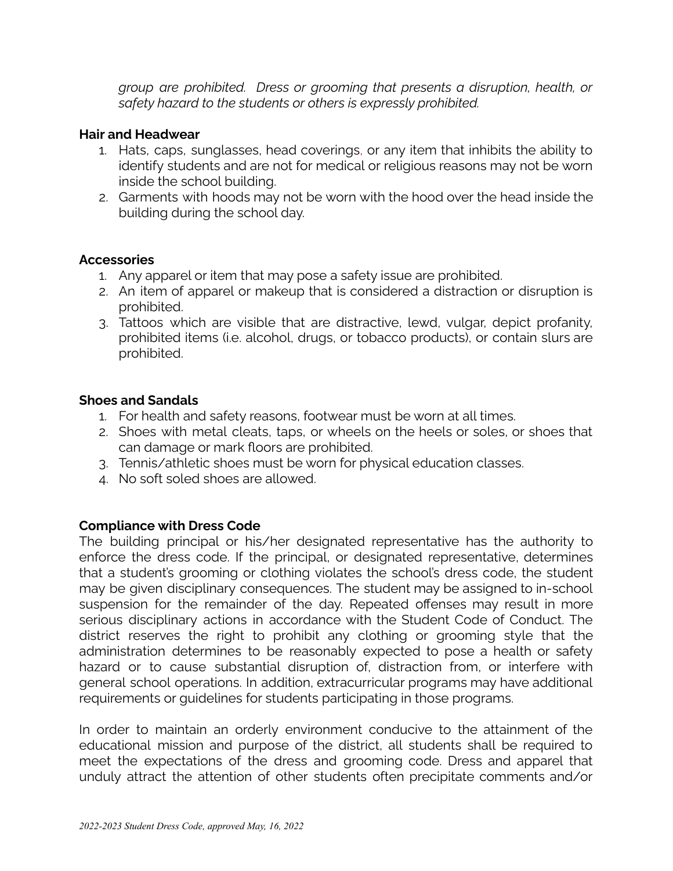*group are prohibited. Dress or grooming that presents a disruption, health, or safety hazard to the students or others is expressly prohibited.*

## **Hair and Headwear**

- 1. Hats, caps, sunglasses, head coverings, or any item that inhibits the ability to identify students and are not for medical or religious reasons may not be worn inside the school building.
- 2. Garments with hoods may not be worn with the hood over the head inside the building during the school day.

#### **Accessories**

- 1. Any apparel or item that may pose a safety issue are prohibited.
- 2. An item of apparel or makeup that is considered a distraction or disruption is prohibited.
- 3. Tattoos which are visible that are distractive, lewd, vulgar, depict profanity, prohibited items (i.e. alcohol, drugs, or tobacco products), or contain slurs are prohibited.

## **Shoes and Sandals**

- 1. For health and safety reasons, footwear must be worn at all times.
- 2. Shoes with metal cleats, taps, or wheels on the heels or soles, or shoes that can damage or mark floors are prohibited.
- 3. Tennis/athletic shoes must be worn for physical education classes.
- 4. No soft soled shoes are allowed.

# **Compliance with Dress Code**

The building principal or his/her designated representative has the authority to enforce the dress code. If the principal, or designated representative, determines that a student's grooming or clothing violates the school's dress code, the student may be given disciplinary consequences. The student may be assigned to in-school suspension for the remainder of the day. Repeated offenses may result in more serious disciplinary actions in accordance with the Student Code of Conduct. The district reserves the right to prohibit any clothing or grooming style that the administration determines to be reasonably expected to pose a health or safety hazard or to cause substantial disruption of, distraction from, or interfere with general school operations. In addition, extracurricular programs may have additional requirements or guidelines for students participating in those programs.

In order to maintain an orderly environment conducive to the attainment of the educational mission and purpose of the district, all students shall be required to meet the expectations of the dress and grooming code. Dress and apparel that unduly attract the attention of other students often precipitate comments and/or